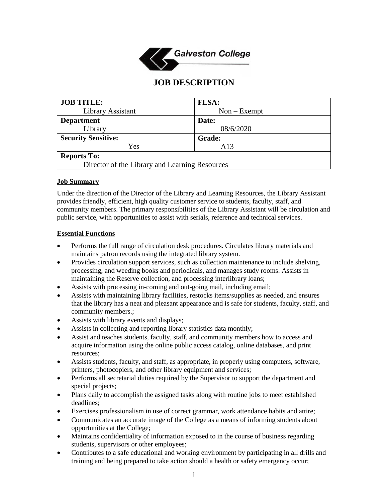

# **JOB DESCRIPTION**

| <b>JOB TITLE:</b>                              | <b>FLSA:</b>   |
|------------------------------------------------|----------------|
| Library Assistant                              | $Non - Exempt$ |
| <b>Department</b>                              | Date:          |
| Library                                        | 08/6/2020      |
| <b>Security Sensitive:</b>                     | <b>Grade:</b>  |
| Yes                                            | A13            |
| <b>Reports To:</b>                             |                |
| Director of the Library and Learning Resources |                |

### **Job Summary**

Under the direction of the Director of the Library and Learning Resources, the Library Assistant provides friendly, efficient, high quality customer service to students, faculty, staff, and community members. The primary responsibilities of the Library Assistant will be circulation and public service, with opportunities to assist with serials, reference and technical services.

#### **Essential Functions**

- Performs the full range of circulation desk procedures. Circulates library materials and maintains patron records using the integrated library system.
- Provides circulation support services, such as collection maintenance to include shelving, processing, and weeding books and periodicals, and manages study rooms. Assists in maintaining the Reserve collection, and processing interlibrary loans;
- Assists with processing in-coming and out-going mail, including email;
- Assists with maintaining library facilities, restocks items/supplies as needed, and ensures that the library has a neat and pleasant appearance and is safe for students, faculty, staff, and community members.;
- Assists with library events and displays;
- Assists in collecting and reporting library statistics data monthly;
- Assist and teaches students, faculty, staff, and community members how to access and acquire information using the online public access catalog, online databases, and print resources;
- Assists students, faculty, and staff, as appropriate, in properly using computers, software, printers, photocopiers, and other library equipment and services;
- Performs all secretarial duties required by the Supervisor to support the department and special projects;
- Plans daily to accomplish the assigned tasks along with routine jobs to meet established deadlines;
- Exercises professionalism in use of correct grammar, work attendance habits and attire;
- Communicates an accurate image of the College as a means of informing students about opportunities at the College;
- Maintains confidentiality of information exposed to in the course of business regarding students, supervisors or other employees;
- Contributes to a safe educational and working environment by participating in all drills and training and being prepared to take action should a health or safety emergency occur;